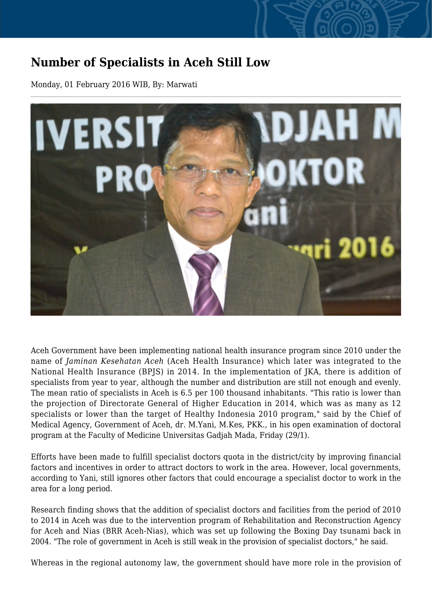## **Number of Specialists in Aceh Still Low**

Monday, 01 February 2016 WIB, By: Marwati



Aceh Government have been implementing national health insurance program since 2010 under the name of *Jaminan Kesehatan Aceh* (Aceh Health Insurance) which later was integrated to the National Health Insurance (BPJS) in 2014. In the implementation of JKA, there is addition of specialists from year to year, although the number and distribution are still not enough and evenly. The mean ratio of specialists in Aceh is 6.5 per 100 thousand inhabitants. "This ratio is lower than the projection of Directorate General of Higher Education in 2014, which was as many as 12 specialists or lower than the target of Healthy Indonesia 2010 program," said by the Chief of Medical Agency, Government of Aceh, dr. M.Yani, M.Kes, PKK., in his open examination of doctoral program at the Faculty of Medicine Universitas Gadjah Mada, Friday (29/1).

Efforts have been made to fulfill specialist doctors quota in the district/city by improving financial factors and incentives in order to attract doctors to work in the area. However, local governments, according to Yani, still ignores other factors that could encourage a specialist doctor to work in the area for a long period.

Research finding shows that the addition of specialist doctors and facilities from the period of 2010 to 2014 in Aceh was due to the intervention program of Rehabilitation and Reconstruction Agency for Aceh and Nias (BRR Aceh-Nias), which was set up following the Boxing Day tsunami back in 2004. "The role of government in Aceh is still weak in the provision of specialist doctors," he said.

Whereas in the regional autonomy law, the government should have more role in the provision of